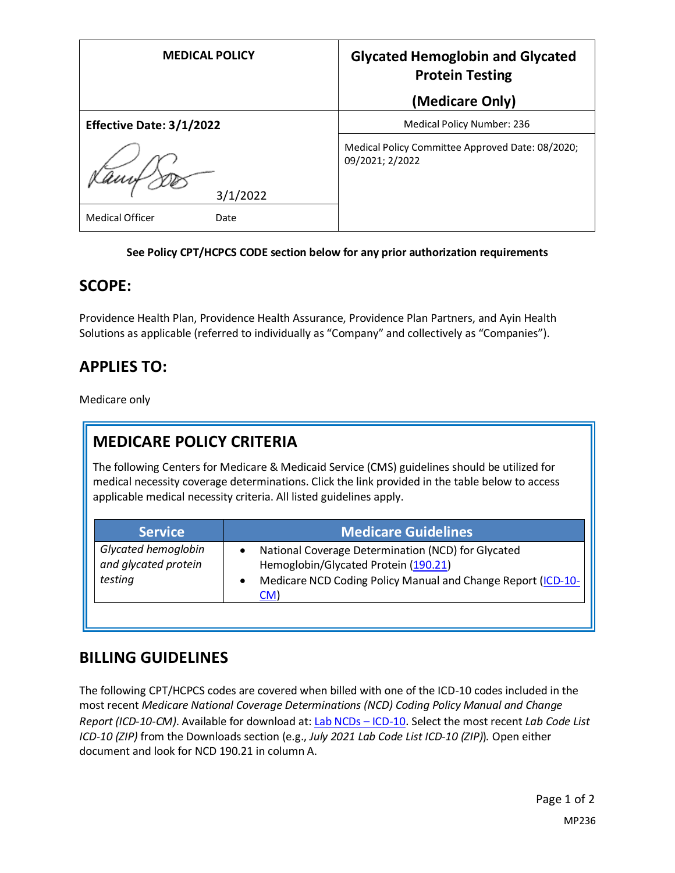| <b>MEDICAL POLICY</b>          | <b>Glycated Hemoglobin and Glycated</b><br><b>Protein Testing</b>   |
|--------------------------------|---------------------------------------------------------------------|
|                                | (Medicare Only)                                                     |
| Effective Date: 3/1/2022       | Medical Policy Number: 236                                          |
| 3/1/2022                       | Medical Policy Committee Approved Date: 08/2020;<br>09/2021; 2/2022 |
| <b>Medical Officer</b><br>Date |                                                                     |

#### **See Policy CPT/HCPCS CODE section below for any prior authorization requirements**

### **SCOPE:**

Providence Health Plan, Providence Health Assurance, Providence Plan Partners, and Ayin Health Solutions as applicable (referred to individually as "Company" and collectively as "Companies").

# **APPLIES TO:**

Medicare only

# **MEDICARE POLICY CRITERIA**

The following Centers for Medicare & Medicaid Service (CMS) guidelines should be utilized for medical necessity coverage determinations. Click the link provided in the table below to access applicable medical necessity criteria. All listed guidelines apply.

| <b>Service</b>                                         | <b>Medicare Guidelines</b>                                                                                                                                        |
|--------------------------------------------------------|-------------------------------------------------------------------------------------------------------------------------------------------------------------------|
| Glycated hemoglobin<br>and glycated protein<br>testing | National Coverage Determination (NCD) for Glycated<br>Hemoglobin/Glycated Protein (190.21)<br>Medicare NCD Coding Policy Manual and Change Report (ICD-10-<br>CM) |

### **BILLING GUIDELINES**

The following CPT/HCPCS codes are covered when billed with one of the ICD-10 codes included in the most recent *Medicare National Coverage Determinations (NCD) Coding Policy Manual and Change Report (ICD-10-CM)*. Available for download at: [Lab NCDs](https://www.cms.gov/Medicare/Coverage/CoverageGenInfo/LabNCDsICD10) – ICD-10. Select the most recent *Lab Code List ICD-10 (ZIP)* from the Downloads section (e.g., *July 2021 Lab Code List ICD-10 (ZIP)*)*.* Open either document and look for NCD 190.21 in column A.